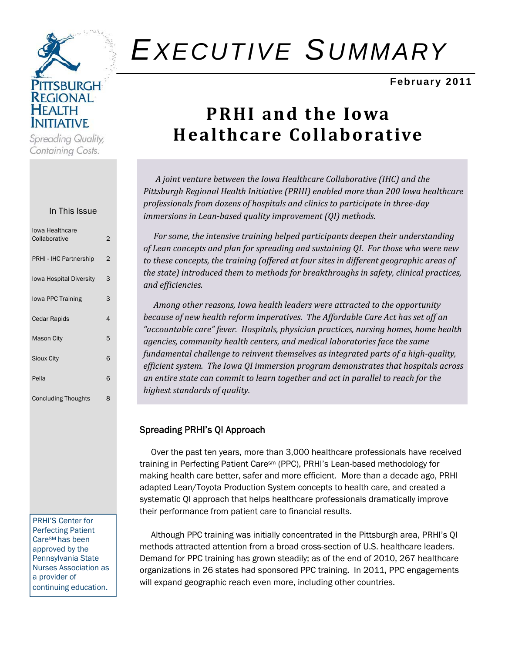

Spreading Quality, Containing Costs.

#### In This Issue

| lowa Healthcare<br>Collaborative | 2 |
|----------------------------------|---|
| PRHI - IHC Partnership           | 2 |
| <b>Iowa Hospital Diversity</b>   | 3 |
| lowa PPC Training                | 3 |
| <b>Cedar Rapids</b>              | 4 |
| <b>Mason City</b>                | 5 |
| <b>Sioux City</b>                | 6 |
| Pella                            | 6 |
| <b>Concluding Thoughts</b>       | 8 |

PRHI'S Center for Perfecting Patient CareSM has been approved by the Pennsylvania State Nurses Association as a provider of continuing education.

# *EXECUTIVE SUMMARY*

#### **February 2011**

## **PRHI and the Iowa Healthcare Collaborative**

 *A joint venture between the Iowa Healthcare Collaborative (IHC) and the Pittsburgh Regional Health Initiative (PRHI) enabled more than 200 Iowa healthcare professionals from dozens of hospitals and clinics to participate in threeday immersions in Leanbased quality improvement (QI) methods.* 

 *For some, the intensive training helped participants deepen their understanding of Lean concepts and plan for spreading and sustaining QI. For those who were new to these concepts, the training (offered at four sites in different geographic areas of the state) introduced them to methods for breakthroughs in safety, clinical practices, and efficiencies.* 

 *Among other reasons, Iowa health leaders were attracted to the opportunity because of new health reform imperatives. The Affordable Care Act has set off an "accountable care" fever. Hospitals, physician practices, nursing homes, home health agencies, community health centers, and medical laboratories face the same fundamental challenge to reinvent themselves as integrated parts of a highquality, efficient system. The Iowa QI immersion program demonstrates that hospitals across an entire state can commit to learn together and act in parallel to reach for the highest standards of quality.* 

#### Spreading PRHI's QI Approach

 Over the past ten years, more than 3,000 healthcare professionals have received training in Perfecting Patient Caresm (PPC), PRHI's Lean-based methodology for making health care better, safer and more efficient. More than a decade ago, PRHI adapted Lean/Toyota Production System concepts to health care, and created a systematic QI approach that helps healthcare professionals dramatically improve their performance from patient care to financial results.

 Although PPC training was initially concentrated in the Pittsburgh area, PRHI's QI methods attracted attention from a broad cross-section of U.S. healthcare leaders. Demand for PPC training has grown steadily; as of the end of 2010, 267 healthcare organizations in 26 states had sponsored PPC training. In 2011, PPC engagements will expand geographic reach even more, including other countries.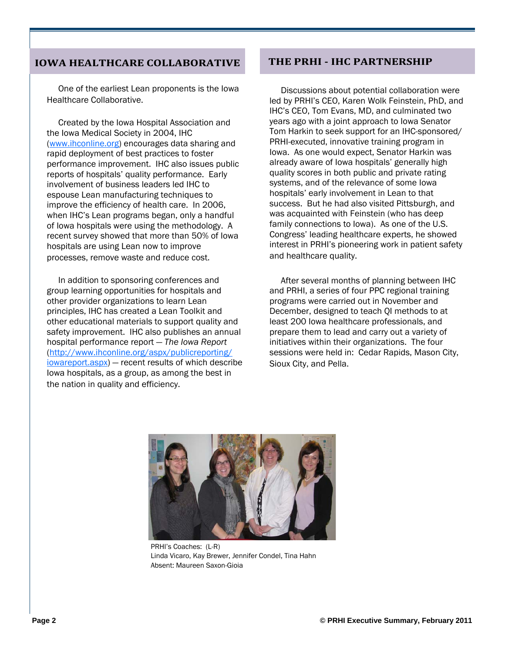#### **IOWA HEALTHCARE COLLABORATIVE**

 One of the earliest Lean proponents is the Iowa Healthcare Collaborative.

 Created by the Iowa Hospital Association and the Iowa Medical Society in 2004, IHC (www.ihconline.org) encourages data sharing and rapid deployment of best practices to foster performance improvement. IHC also issues public reports of hospitals' quality performance. Early involvement of business leaders led IHC to espouse Lean manufacturing techniques to improve the efficiency of health care. In 2006, when IHC's Lean programs began, only a handful of Iowa hospitals were using the methodology. A recent survey showed that more than 50% of Iowa hospitals are using Lean now to improve processes, remove waste and reduce cost.

 In addition to sponsoring conferences and group learning opportunities for hospitals and other provider organizations to learn Lean principles, IHC has created a Lean Toolkit and other educational materials to support quality and safety improvement. IHC also publishes an annual hospital performance report — *The Iowa Report* (http://www.ihconline.org/aspx/publicreporting/ iowareport.aspx) — recent results of which describe Iowa hospitals, as a group, as among the best in the nation in quality and efficiency.

### **THE PRHI IHC PARTNERSHIP**

 Discussions about potential collaboration were led by PRHI's CEO, Karen Wolk Feinstein, PhD, and IHC's CEO, Tom Evans, MD, and culminated two years ago with a joint approach to Iowa Senator Tom Harkin to seek support for an IHC-sponsored/ PRHI-executed, innovative training program in Iowa. As one would expect, Senator Harkin was already aware of Iowa hospitals' generally high quality scores in both public and private rating systems, and of the relevance of some Iowa hospitals' early involvement in Lean to that success. But he had also visited Pittsburgh, and was acquainted with Feinstein (who has deep family connections to Iowa). As one of the U.S. Congress' leading healthcare experts, he showed interest in PRHI's pioneering work in patient safety and healthcare quality.

 After several months of planning between IHC and PRHI, a series of four PPC regional training programs were carried out in November and December, designed to teach QI methods to at least 200 Iowa healthcare professionals, and prepare them to lead and carry out a variety of initiatives within their organizations. The four sessions were held in: Cedar Rapids, Mason City, Sioux City, and Pella.



PRHI's Coaches: (L-R) Linda Vicaro, Kay Brewer, Jennifer Condel, Tina Hahn Absent: Maureen Saxon-Gioia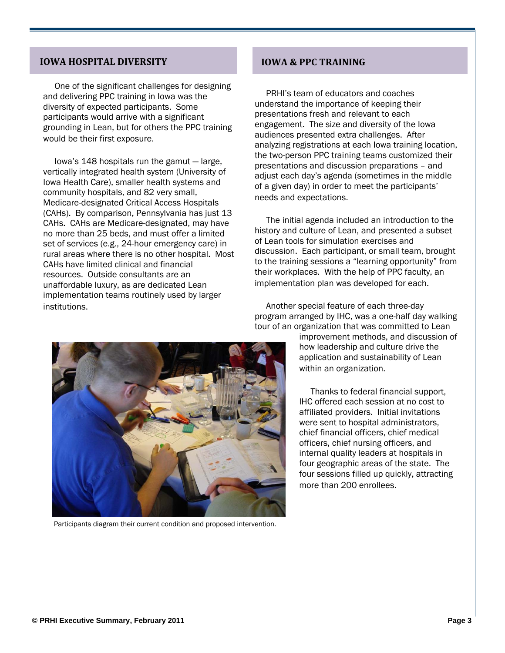#### **IOWA HOSPITAL DIVERSITY**

 One of the significant challenges for designing and delivering PPC training in Iowa was the diversity of expected participants. Some participants would arrive with a significant grounding in Lean, but for others the PPC training would be their first exposure.

 Iowa's 148 hospitals run the gamut — large, vertically integrated health system (University of Iowa Health Care), smaller health systems and community hospitals, and 82 very small, Medicare-designated Critical Access Hospitals (CAHs). By comparison, Pennsylvania has just 13 CAHs. CAHs are Medicare-designated, may have no more than 25 beds, and must offer a limited set of services (e.g., 24-hour emergency care) in rural areas where there is no other hospital. Most CAHs have limited clinical and financial resources. Outside consultants are an unaffordable luxury, as are dedicated Lean implementation teams routinely used by larger institutions.

#### **IOWA & PPC TRAINING**

 PRHI's team of educators and coaches understand the importance of keeping their presentations fresh and relevant to each engagement. The size and diversity of the Iowa audiences presented extra challenges. After analyzing registrations at each Iowa training location, the two-person PPC training teams customized their presentations and discussion preparations – and adjust each day's agenda (sometimes in the middle of a given day) in order to meet the participants' needs and expectations.

 The initial agenda included an introduction to the history and culture of Lean, and presented a subset of Lean tools for simulation exercises and discussion. Each participant, or small team, brought to the training sessions a "learning opportunity" from their workplaces. With the help of PPC faculty, an implementation plan was developed for each.

 Another special feature of each three-day program arranged by IHC, was a one-half day walking tour of an organization that was committed to Lean

improvement methods, and discussion of how leadership and culture drive the application and sustainability of Lean within an organization.

 Thanks to federal financial support, IHC offered each session at no cost to affiliated providers. Initial invitations were sent to hospital administrators, chief financial officers, chief medical officers, chief nursing officers, and internal quality leaders at hospitals in four geographic areas of the state. The four sessions filled up quickly, attracting more than 200 enrollees.



Participants diagram their current condition and proposed intervention.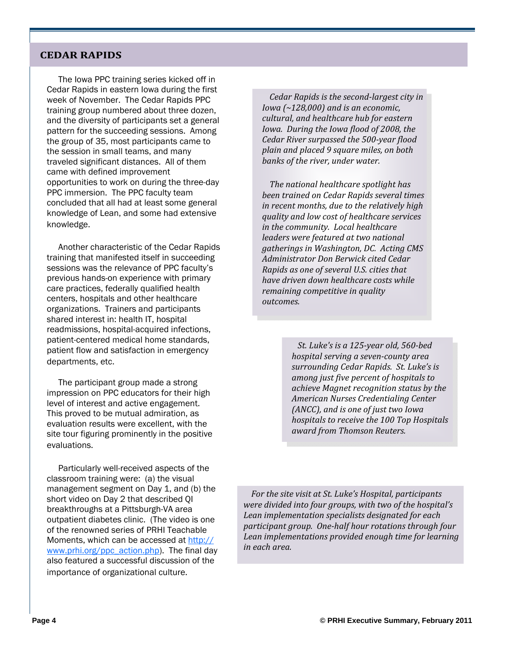#### **CEDAR RAPIDS**

 The Iowa PPC training series kicked off in Cedar Rapids in eastern Iowa during the first week of November. The Cedar Rapids PPC training group numbered about three dozen, and the diversity of participants set a general pattern for the succeeding sessions. Among the group of 35, most participants came to the session in small teams, and many traveled significant distances. All of them came with defined improvement opportunities to work on during the three-day PPC immersion. The PPC faculty team concluded that all had at least some general knowledge of Lean, and some had extensive knowledge.

 Another characteristic of the Cedar Rapids training that manifested itself in succeeding sessions was the relevance of PPC faculty's previous hands-on experience with primary care practices, federally qualified health centers, hospitals and other healthcare organizations. Trainers and participants shared interest in: health IT, hospital readmissions, hospital-acquired infections, patient-centered medical home standards, patient flow and satisfaction in emergency departments, etc.

 The participant group made a strong impression on PPC educators for their high level of interest and active engagement. This proved to be mutual admiration, as evaluation results were excellent, with the site tour figuring prominently in the positive evaluations.

 Particularly well-received aspects of the classroom training were: (a) the visual management segment on Day 1, and (b) the short video on Day 2 that described QI breakthroughs at a Pittsburgh-VA area outpatient diabetes clinic. (The video is one of the renowned series of PRHI Teachable Moments, which can be accessed at http:// www.prhi.org/ppc\_action.php). The final day also featured a successful discussion of the importance of organizational culture.

*Cedar Rapids is the secondlargest city in Iowa (~128,000) and is an economic, cultural, and healthcare hub for eastern Iowa. During the Iowa flood of 2008, the Cedar River surpassed the 500year flood plain and placed 9 square miles, on both banks of the river, under water.* 

*The national healthcare spotlight has been trained on Cedar Rapids several times in recent months, due to the relatively high quality and low cost of healthcare services in the community. Local healthcare leaders were featured at two national gatherings in Washington, DC. Acting CMS Administrator Don Berwick cited Cedar Rapids as one of several U.S. cities that have driven down healthcare costs while remaining competitive in quality*  $outcomes.$ 

> *St. Luke's is a 125year old, 560bed hospital serving a sevencounty area surrounding Cedar Rapids. St. Luke's is among just five percent of hospitals to achieve Magnet recognition status by the American Nurses Credentialing Center (ANCC), and is one of just two Iowa hospitals to receive the 100 Top Hospitals award from Thomson Reuters.*

 *For the site visit at St. Luke's Hospital, participants were divided into four groups, with two of the hospital's Lean implementation specialists designated for each participant group. Onehalf hour rotations through four Lean implementations provided enough time for learning in each area.*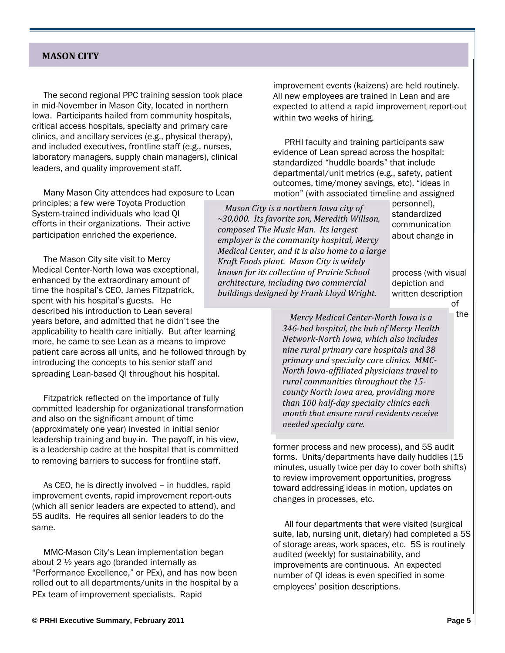#### **MASON CITY**

 The second regional PPC training session took place in mid-November in Mason City, located in northern Iowa. Participants hailed from community hospitals, critical access hospitals, specialty and primary care clinics, and ancillary services (e.g., physical therapy), and included executives, frontline staff (e.g., nurses, laboratory managers, supply chain managers), clinical leaders, and quality improvement staff.

 $\mathbf{r} = \mathbf{r} \cdot \mathbf{r}$  , where  $\mathbf{r} = \mathbf{r} \cdot \mathbf{r}$  , where  $\mathbf{r} = \mathbf{r} \cdot \mathbf{r}$ 

 Many Mason City attendees had exposure to Lean principles; a few were Toyota Production System-trained individuals who lead QI efforts in their organizations. Their active participation enriched the experience.

 The Mason City site visit to Mercy Medical Center-North Iowa was exceptional, enhanced by the extraordinary amount of time the hospital's CEO, James Fitzpatrick, spent with his hospital's guests. He described his introduction to Lean several years before, and admitted that he didn't see the applicability to health care initially. But after learning more, he came to see Lean as a means to improve patient care across all units, and he followed through by introducing the concepts to his senior staff and spreading Lean-based QI throughout his hospital.

 Fitzpatrick reflected on the importance of fully committed leadership for organizational transformation and also on the significant amount of time (approximately one year) invested in initial senior leadership training and buy-in. The payoff, in his view, is a leadership cadre at the hospital that is committed to removing barriers to success for frontline staff.

 As CEO, he is directly involved – in huddles, rapid improvement events, rapid improvement report-outs (which all senior leaders are expected to attend), and 5S audits. He requires all senior leaders to do the same.

 MMC-Mason City's Lean implementation began about 2 ½ years ago (branded internally as "Performance Excellence," or PEx), and has now been rolled out to all departments/units in the hospital by a PEx team of improvement specialists. Rapid

improvement events (kaizens) are held routinely. All new employees are trained in Lean and are expected to attend a rapid improvement report-out within two weeks of hiring.

 PRHI faculty and training participants saw evidence of Lean spread across the hospital: standardized "huddle boards" that include departmental/unit metrics (e.g., safety, patient outcomes, time/money savings, etc), "ideas in motion" (with associated timeline and assigned

*Mason City is a northern Iowa city of ~30,000. Its favorite son, Meredith Willson, composed The Music Man. Its largest employer is the community hospital, Mercy Medical Center, and it is also home to a large Kraft Foods plant. Mason City is widely known for its collection of Prairie School architecture, including two commercial buildings designed by Frank Lloyd Wright.* 

personnel), standardized communication about change in

process (with visual depiction and written description of

the

*Mercy Medical CenterNorth Iowa is a 346bed hospital, the hub of Mercy Health NetworkNorth Iowa, which also includes nine rural primary care hospitals and 38 primary and specialty care clinics. MMC-North Iowaaffiliated physicians travel to rural communities throughout the 15 county North Iowa area, providing more than 100 halfday specialty clinics each month that ensure rural residents receive needed specialty care.*

former process and new process), and 5S audit forms. Units/departments have daily huddles (15 minutes, usually twice per day to cover both shifts) to review improvement opportunities, progress toward addressing ideas in motion, updates on changes in processes, etc.

 All four departments that were visited (surgical suite, lab, nursing unit, dietary) had completed a 5S of storage areas, work spaces, etc. 5S is routinely audited (weekly) for sustainability, and improvements are continuous. An expected number of QI ideas is even specified in some employees' position descriptions.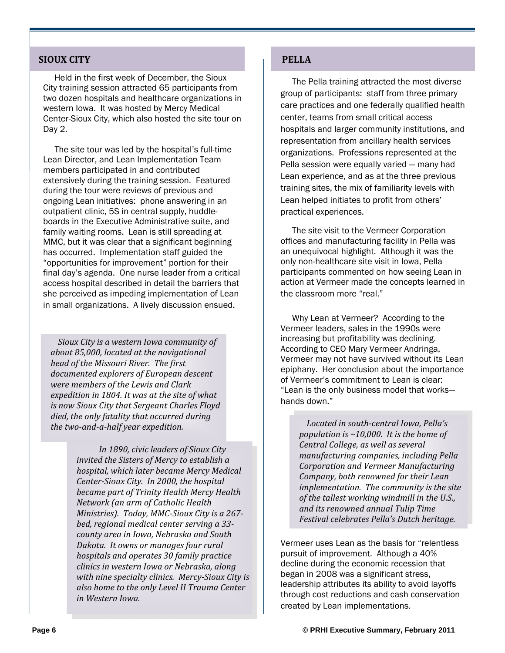#### **SIOUX CITY PELLA**

 Held in the first week of December, the Sioux City training session attracted 65 participants from two dozen hospitals and healthcare organizations in western Iowa. It was hosted by Mercy Medical Center-Sioux City, which also hosted the site tour on Day 2.

 The site tour was led by the hospital's full-time Lean Director, and Lean Implementation Team members participated in and contributed extensively during the training session. Featured during the tour were reviews of previous and ongoing Lean initiatives: phone answering in an outpatient clinic, 5S in central supply, huddleboards in the Executive Administrative suite, and family waiting rooms. Lean is still spreading at MMC, but it was clear that a significant beginning has occurred. Implementation staff guided the "opportunities for improvement" portion for their final day's agenda. One nurse leader from a critical access hospital described in detail the barriers that she perceived as impeding implementation of Lean in small organizations. A lively discussion ensued.

*Sioux City is a western Iowa community of about 85,000, located at the navigational head of the Missouri River. The first documented explorers of European descent were members of the Lewis and Clark expedition in 1804. It was at the site of what is now Sioux City that Sergeant Charles Floyd died, the only fatality that occurred during the twoandahalf year expedition.* 

> *In 1890, civic leaders of Sioux City invited the Sisters of Mercy to establish a hospital, which later became Mercy Medical CenterSioux City. In 2000, the hospital became part of Trinity Health Mercy Health Network (an arm of Catholic Health Ministries). Today, MMCSioux City is a 267 bed, regional medical center serving a 33 county area in Iowa, Nebraska and South Dakota. It owns or manages four rural hospitals and operates 30 family practice clinics in western Iowa or Nebraska, along with nine specialty clinics. MercySioux City is also home to the only Level II Trauma Center in Western Iowa.*

 The Pella training attracted the most diverse group of participants: staff from three primary care practices and one federally qualified health center, teams from small critical access hospitals and larger community institutions, and representation from ancillary health services organizations. Professions represented at the Pella session were equally varied — many had Lean experience, and as at the three previous training sites, the mix of familiarity levels with Lean helped initiates to profit from others' practical experiences.

 The site visit to the Vermeer Corporation offices and manufacturing facility in Pella was an unequivocal highlight. Although it was the only non-healthcare site visit in Iowa, Pella participants commented on how seeing Lean in action at Vermeer made the concepts learned in the classroom more "real."

 Why Lean at Vermeer? According to the Vermeer leaders, sales in the 1990s were increasing but profitability was declining. According to CEO Mary Vermeer Andringa, Vermeer may not have survived without its Lean epiphany. Her conclusion about the importance of Vermeer's commitment to Lean is clear: "Lean is the only business model that works hands down."

> *Located in southcentral Iowa, Pella's population is ~10,000. It is the home of Central College, as well as several manufacturing companies, including Pella Corporation and Vermeer Manufacturing Company, both renowned for their Lean implementation. The community is the site of the tallest working windmill in the U.S., and its renowned annual Tulip Time Festival celebrates Pella's Dutch heritage.*

Vermeer uses Lean as the basis for "relentless pursuit of improvement. Although a 40% decline during the economic recession that began in 2008 was a significant stress, leadership attributes its ability to avoid layoffs through cost reductions and cash conservation created by Lean implementations.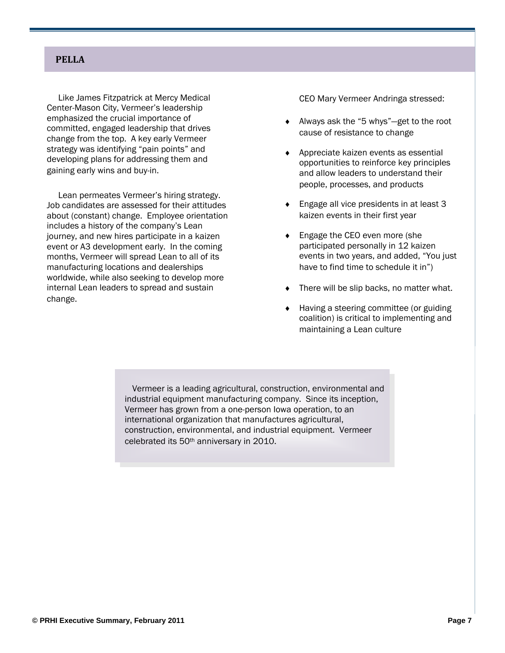#### **PELLA**

 Like James Fitzpatrick at Mercy Medical Center-Mason City, Vermeer's leadership emphasized the crucial importance of committed, engaged leadership that drives change from the top. A key early Vermeer strategy was identifying "pain points" and developing plans for addressing them and gaining early wins and buy-in.

 Lean permeates Vermeer's hiring strategy. Job candidates are assessed for their attitudes about (constant) change. Employee orientation includes a history of the company's Lean journey, and new hires participate in a kaizen event or A3 development early. In the coming months, Vermeer will spread Lean to all of its manufacturing locations and dealerships worldwide, while also seeking to develop more internal Lean leaders to spread and sustain change.

CEO Mary Vermeer Andringa stressed:

- ◆ Always ask the "5 whys"—get to the root cause of resistance to change
- ◆ Appreciate kaizen events as essential opportunities to reinforce key principles and allow leaders to understand their people, processes, and products
- ◆ Engage all vice presidents in at least 3 kaizen events in their first year
- ◆ Engage the CEO even more (she participated personally in 12 kaizen events in two years, and added, "You just have to find time to schedule it in")
- There will be slip backs, no matter what.
- Having a steering committee (or guiding coalition) is critical to implementing and maintaining a Lean culture

Vermeer is a leading agricultural, construction, environmental and industrial equipment manufacturing company. Since its inception, Vermeer has grown from a one-person Iowa operation, to an international organization that manufactures agricultural, construction, environmental, and industrial equipment. Vermeer celebrated its 50th anniversary in 2010.